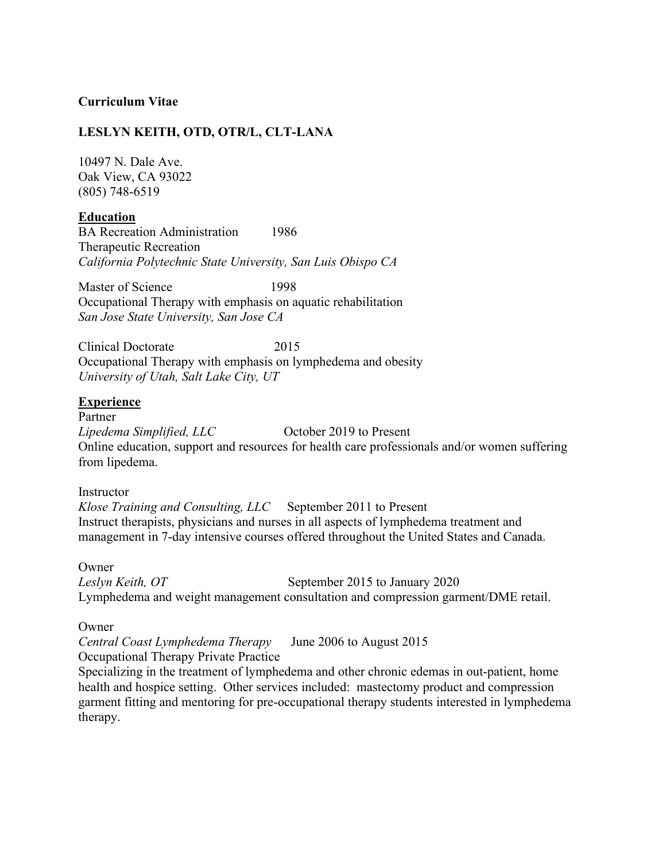# **Curriculum Vitae**

### **LESLYN KEITH, OTD, OTR/L, CLT-LANA**

10497 N. Dale Ave. Oak View, CA 93022 (805) 748-6519

### **Education**

BA Recreation Administration 1986 Therapeutic Recreation *California Polytechnic State University, San Luis Obispo CA*

Master of Science 1998 Occupational Therapy with emphasis on aquatic rehabilitation *San Jose State University, San Jose CA*

Clinical Doctorate 2015 Occupational Therapy with emphasis on lymphedema and obesity *University of Utah, Salt Lake City, UT*

### **Experience**

Partner *Lipedema Simplified, LLC* **October 2019 to Present** Online education, support and resources for health care professionals and/or women suffering from lipedema.

#### Instructor

*Klose Training and Consulting, LLC* September 2011 to Present Instruct therapists, physicians and nurses in all aspects of lymphedema treatment and management in 7-day intensive courses offered throughout the United States and Canada.

#### Owner

*Leslyn Keith, OT* September 2015 to January 2020 Lymphedema and weight management consultation and compression garment/DME retail.

#### Owner

*Central Coast Lymphedema Therapy* June 2006 to August 2015 Occupational Therapy Private Practice

Specializing in the treatment of lymphedema and other chronic edemas in out-patient, home health and hospice setting. Other services included: mastectomy product and compression garment fitting and mentoring for pre-occupational therapy students interested in lymphedema therapy.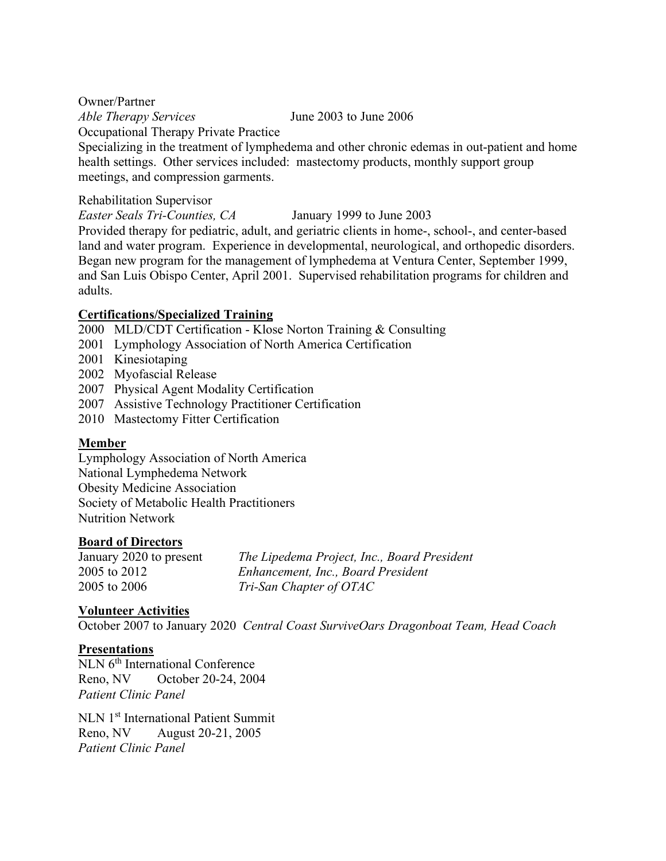Owner/Partner *Able Therapy Services* June 2003 to June 2006 Occupational Therapy Private Practice Specializing in the treatment of lymphedema and other chronic edemas in out-patient and home health settings. Other services included: mastectomy products, monthly support group meetings, and compression garments.

# Rehabilitation Supervisor

*Easter Seals Tri-Counties, CA* January 1999 to June 2003

Provided therapy for pediatric, adult, and geriatric clients in home-, school-, and center-based land and water program. Experience in developmental, neurological, and orthopedic disorders. Began new program for the management of lymphedema at Ventura Center, September 1999, and San Luis Obispo Center, April 2001. Supervised rehabilitation programs for children and adults.

# **Certifications/Specialized Training**

- 2000 MLD/CDT Certification Klose Norton Training & Consulting
- 2001 Lymphology Association of North America Certification
- 2001 Kinesiotaping
- 2002 Myofascial Release
- 2007 Physical Agent Modality Certification
- 2007 Assistive Technology Practitioner Certification
- 2010 Mastectomy Fitter Certification

# **Member**

Lymphology Association of North America National Lymphedema Network Obesity Medicine Association Society of Metabolic Health Practitioners Nutrition Network

# **Board of Directors**

January 2020 to present *The Lipedema Project, Inc., Board President* 2005 to 2012 *Enhancement, Inc., Board President* 2005 to 2006 *Tri-San Chapter of OTAC*

# **Volunteer Activities**

October 2007 to January 2020 *Central Coast SurviveOars Dragonboat Team, Head Coach*

# **Presentations**

NLN 6<sup>th</sup> International Conference Reno, NV October 20-24, 2004 *Patient Clinic Panel*

NLN 1st International Patient Summit Reno, NV August 20-21, 2005 *Patient Clinic Panel*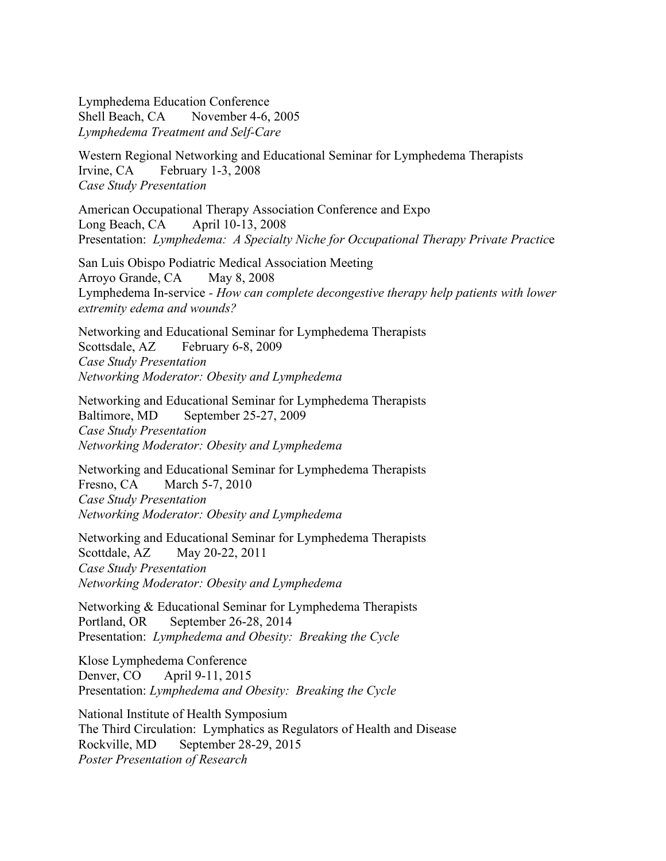Lymphedema Education Conference Shell Beach, CA November 4-6, 2005 *Lymphedema Treatment and Self-Care*

Western Regional Networking and Educational Seminar for Lymphedema Therapists Irvine, CA February 1-3, 2008 *Case Study Presentation* 

American Occupational Therapy Association Conference and Expo Long Beach, CA April 10-13, 2008 Presentation: *Lymphedema: A Specialty Niche for Occupational Therapy Private Practic*e

San Luis Obispo Podiatric Medical Association Meeting Arroyo Grande, CA May 8, 2008 Lymphedema In-service *- How can complete decongestive therapy help patients with lower extremity edema and wounds?*

Networking and Educational Seminar for Lymphedema Therapists Scottsdale, AZ February 6-8, 2009 *Case Study Presentation Networking Moderator: Obesity and Lymphedema*

Networking and Educational Seminar for Lymphedema Therapists Baltimore, MD September 25-27, 2009 *Case Study Presentation Networking Moderator: Obesity and Lymphedema*

Networking and Educational Seminar for Lymphedema Therapists Fresno, CA March 5-7, 2010 *Case Study Presentation Networking Moderator: Obesity and Lymphedema*

Networking and Educational Seminar for Lymphedema Therapists Scottdale, AZ May 20-22, 2011 *Case Study Presentation Networking Moderator: Obesity and Lymphedema*

Networking & Educational Seminar for Lymphedema Therapists Portland, OR September 26-28, 2014 Presentation: *Lymphedema and Obesity: Breaking the Cycle*

Klose Lymphedema Conference Denver, CO April 9-11, 2015 Presentation: *Lymphedema and Obesity: Breaking the Cycle*

National Institute of Health Symposium The Third Circulation: Lymphatics as Regulators of Health and Disease Rockville, MD September 28-29, 2015 *Poster Presentation of Research*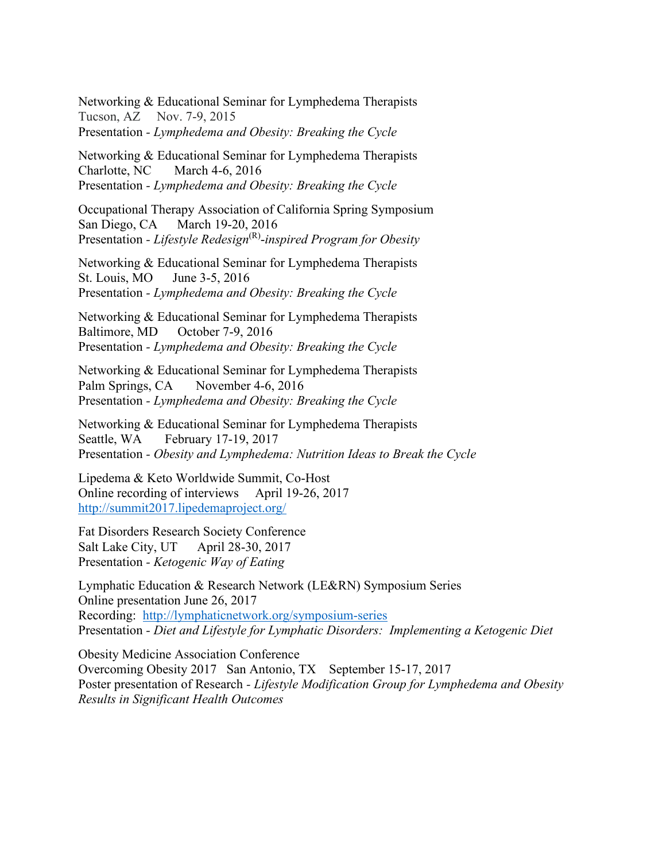Networking & Educational Seminar for Lymphedema Therapists Tucson, AZ Nov. 7-9, 2015 Presentation *- Lymphedema and Obesity: Breaking the Cycle*

Networking & Educational Seminar for Lymphedema Therapists Charlotte, NC March 4-6, 2016 Presentation *- Lymphedema and Obesity: Breaking the Cycle*

Occupational Therapy Association of California Spring Symposium San Diego, CA March 19-20, 2016 Presentation *- Lifestyle Redesign*(R)-*inspired Program for Obesity*

Networking & Educational Seminar for Lymphedema Therapists St. Louis, MO June 3-5, 2016 Presentation *- Lymphedema and Obesity: Breaking the Cycle*

Networking & Educational Seminar for Lymphedema Therapists Baltimore, MD October 7-9, 2016 Presentation *- Lymphedema and Obesity: Breaking the Cycle*

Networking & Educational Seminar for Lymphedema Therapists Palm Springs, CA November 4-6, 2016 Presentation *- Lymphedema and Obesity: Breaking the Cycle*

Networking & Educational Seminar for Lymphedema Therapists Seattle, WA February 17-19, 2017 Presentation *- Obesity and Lymphedema: Nutrition Ideas to Break the Cycle*

Lipedema & Keto Worldwide Summit, Co-Host Online recording of interviews April 19-26, 2017 <http://summit2017.lipedemaproject.org/>

Fat Disorders Research Society Conference Salt Lake City, UT April 28-30, 2017 Presentation *- Ketogenic Way of Eating*

Lymphatic Education & Research Network (LE&RN) Symposium Series Online presentation June 26, 2017 Recording: <http://lymphaticnetwork.org/symposium-series> Presentation *- Diet and Lifestyle for Lymphatic Disorders: Implementing a Ketogenic Diet*

Obesity Medicine Association Conference Overcoming Obesity 2017 San Antonio, TX September 15-17, 2017 Poster presentation of Research *- Lifestyle Modification Group for Lymphedema and Obesity Results in Significant Health Outcomes*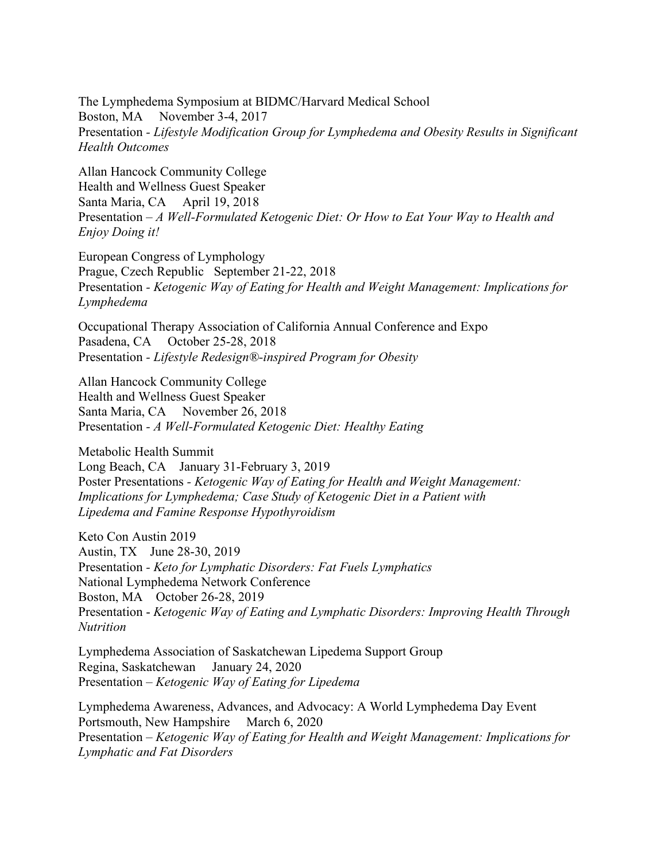The Lymphedema Symposium at BIDMC/Harvard Medical School Boston, MA November 3-4, 2017 Presentation *- Lifestyle Modification Group for Lymphedema and Obesity Results in Significant Health Outcomes*

Allan Hancock Community College Health and Wellness Guest Speaker Santa Maria, CA April 19, 2018 Presentation *– A Well-Formulated Ketogenic Diet: Or How to Eat Your Way to Health and Enjoy Doing it!*

European Congress of Lymphology Prague, Czech Republic September 21-22, 2018 Presentation *- Ketogenic Way of Eating for Health and Weight Management: Implications for Lymphedema*

Occupational Therapy Association of California Annual Conference and Expo Pasadena, CA October 25-28, 2018 Presentation *- Lifestyle Redesign®-inspired Program for Obesity*

Allan Hancock Community College Health and Wellness Guest Speaker Santa Maria, CA November 26, 2018 Presentation *- A Well-Formulated Ketogenic Diet: Healthy Eating*

Metabolic Health Summit Long Beach, CA January 31-February 3, 2019 Poster Presentations *- Ketogenic Way of Eating for Health and Weight Management: Implications for Lymphedema; Case Study of Ketogenic Diet in a Patient with Lipedema and Famine Response Hypothyroidism*

Keto Con Austin 2019 Austin, TX June 28-30, 2019 Presentation *- Keto for Lymphatic Disorders: Fat Fuels Lymphatics* National Lymphedema Network Conference Boston, MA October 26-28, 2019 Presentation - *Ketogenic Way of Eating and Lymphatic Disorders: Improving Health Through Nutrition*

Lymphedema Association of Saskatchewan Lipedema Support Group Regina, Saskatchewan January 24, 2020 Presentation – *Ketogenic Way of Eating for Lipedema*

Lymphedema Awareness, Advances, and Advocacy: A World Lymphedema Day Event Portsmouth, New Hampshire March 6, 2020 Presentation – *Ketogenic Way of Eating for Health and Weight Management: Implications for Lymphatic and Fat Disorders*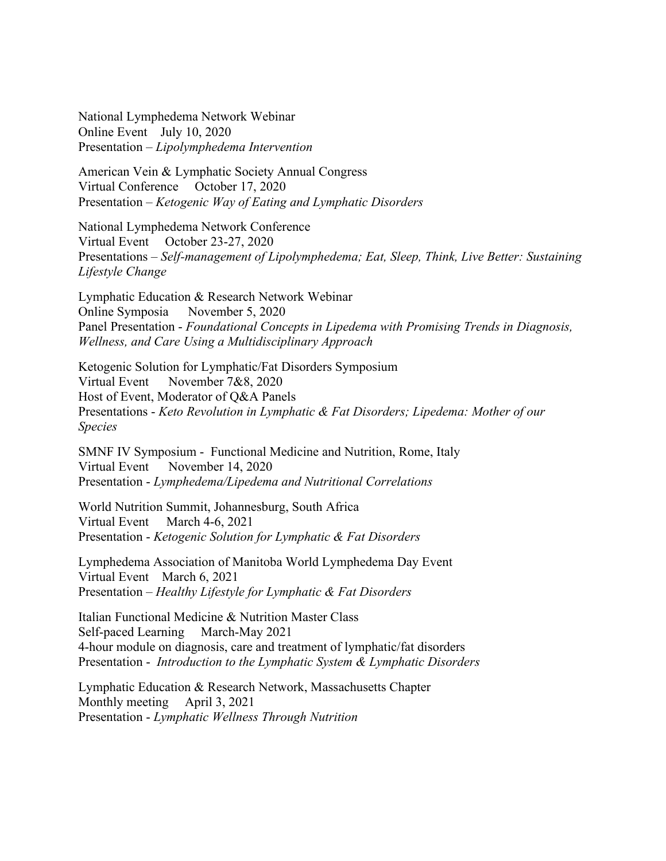National Lymphedema Network Webinar Online Event July 10, 2020 Presentation – *Lipolymphedema Intervention*

American Vein & Lymphatic Society Annual Congress Virtual Conference October 17, 2020 Presentation – *Ketogenic Way of Eating and Lymphatic Disorders*

National Lymphedema Network Conference Virtual Event October 23-27, 2020 Presentations – *Self-management of Lipolymphedema; Eat, Sleep, Think, Live Better: Sustaining Lifestyle Change*

Lymphatic Education & Research Network Webinar Online Symposia November 5, 2020 Panel Presentation - *Foundational Concepts in Lipedema with Promising Trends in Diagnosis, Wellness, and Care Using a Multidisciplinary Approach*

Ketogenic Solution for Lymphatic/Fat Disorders Symposium Virtual Event November 7&8, 2020 Host of Event, Moderator of Q&A Panels Presentations - *Keto Revolution in Lymphatic & Fat Disorders; Lipedema: Mother of our Species*

SMNF IV Symposium - Functional Medicine and Nutrition, Rome, Italy Virtual Event November 14, 2020 Presentation - *Lymphedema/Lipedema and Nutritional Correlations*

World Nutrition Summit, Johannesburg, South Africa Virtual Event March 4-6, 2021 Presentation - *Ketogenic Solution for Lymphatic & Fat Disorders*

Lymphedema Association of Manitoba World Lymphedema Day Event Virtual Event March 6, 2021 Presentation – *Healthy Lifestyle for Lymphatic & Fat Disorders*

Italian Functional Medicine & Nutrition Master Class Self-paced Learning March-May 2021 4-hour module on diagnosis, care and treatment of lymphatic/fat disorders Presentation - *Introduction to the Lymphatic System & Lymphatic Disorders*

Lymphatic Education & Research Network, Massachusetts Chapter Monthly meeting April 3, 2021 Presentation - *Lymphatic Wellness Through Nutrition*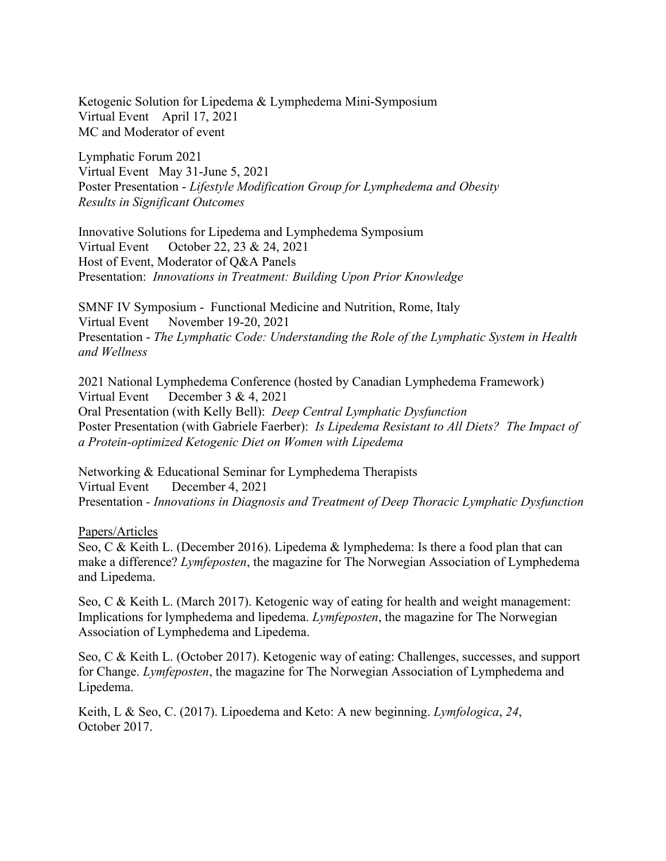Ketogenic Solution for Lipedema & Lymphedema Mini-Symposium Virtual Event April 17, 2021 MC and Moderator of event

Lymphatic Forum 2021 Virtual Event May 31-June 5, 2021 Poster Presentation - *Lifestyle Modification Group for Lymphedema and Obesity Results in Significant Outcomes*

Innovative Solutions for Lipedema and Lymphedema Symposium Virtual Event October 22, 23 & 24, 2021 Host of Event, Moderator of Q&A Panels Presentation: *Innovations in Treatment: Building Upon Prior Knowledge*

SMNF IV Symposium - Functional Medicine and Nutrition, Rome, Italy Virtual Event November 19-20, 2021 Presentation - *The Lymphatic Code: Understanding the Role of the Lymphatic System in Health and Wellness*

2021 National Lymphedema Conference (hosted by Canadian Lymphedema Framework) Virtual Event December 3 & 4, 2021 Oral Presentation (with Kelly Bell): *Deep Central Lymphatic Dysfunction* Poster Presentation (with Gabriele Faerber): *Is Lipedema Resistant to All Diets? The Impact of a Protein-optimized Ketogenic Diet on Women with Lipedema*

Networking & Educational Seminar for Lymphedema Therapists Virtual Event December 4, 2021 Presentation *- Innovations in Diagnosis and Treatment of Deep Thoracic Lymphatic Dysfunction*

#### Papers/Articles

Seo, C & Keith L. (December 2016). Lipedema & lymphedema: Is there a food plan that can make a difference? *Lymfeposten*, the magazine for The Norwegian Association of Lymphedema and Lipedema.

Seo, C & Keith L. (March 2017). Ketogenic way of eating for health and weight management: Implications for lymphedema and lipedema. *Lymfeposten*, the magazine for The Norwegian Association of Lymphedema and Lipedema.

Seo, C & Keith L. (October 2017). Ketogenic way of eating: Challenges, successes, and support for Change. *Lymfeposten*, the magazine for The Norwegian Association of Lymphedema and Lipedema.

Keith, L & Seo, C. (2017). Lipoedema and Keto: A new beginning. *Lymfologica*, *24*, October 2017.